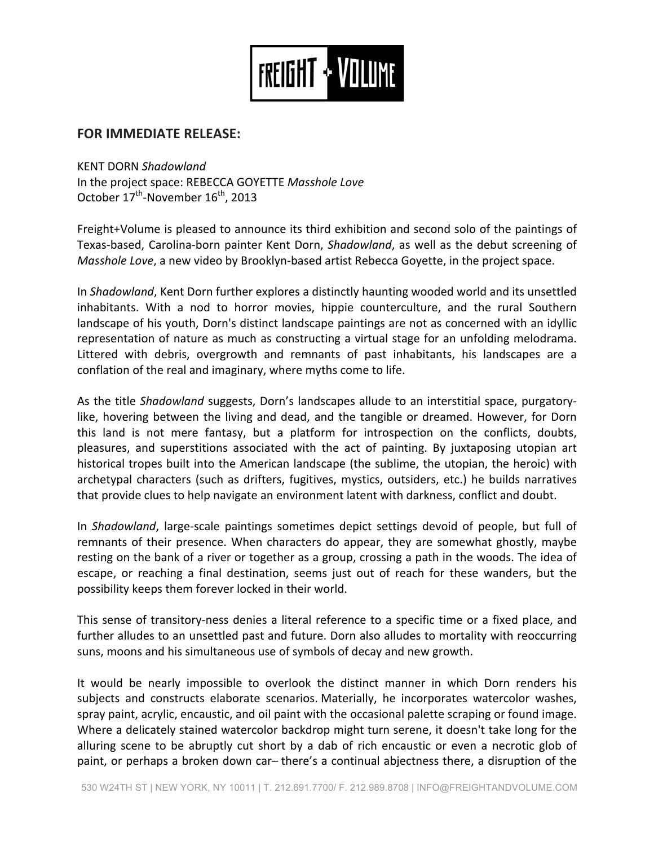

## **FOR IMMEDIATE RELEASE:**

KENT DORN *Shadowland*

In the project space: REBECCA GOYETTE *Masshole Love* October 17<sup>th</sup>-November 16<sup>th</sup>, 2013

Freight+Volume is pleased to announce its third exhibition and second solo of the paintings of Texas-based, Carolina-born painter Kent Dorn, *Shadowland*, as well as the debut screening of *Masshole Love*, a new video by Brooklyn-based artist Rebecca Goyette, in the project space.

In *Shadowland*, Kent Dorn further explores a distinctly haunting wooded world and its unsettled inhabitants. With a nod to horror movies, hippie counterculture, and the rural Southern landscape of his youth, Dorn's distinct landscape paintings are not as concerned with an idyllic representation of nature as much as constructing a virtual stage for an unfolding melodrama. Littered with debris, overgrowth and remnants of past inhabitants, his landscapes are a conflation of the real and imaginary, where myths come to life.

As the title *Shadowland* suggests, Dorn's landscapes allude to an interstitial space, purgatorylike, hovering between the living and dead, and the tangible or dreamed. However, for Dorn this land is not mere fantasy, but a platform for introspection on the conflicts, doubts, pleasures, and superstitions associated with the act of painting. By juxtaposing utopian art historical tropes built into the American landscape (the sublime, the utopian, the heroic) with archetypal characters (such as drifters, fugitives, mystics, outsiders, etc.) he builds narratives that provide clues to help navigate an environment latent with darkness, conflict and doubt.

In *Shadowland*, large-scale paintings sometimes depict settings devoid of people, but full of remnants of their presence. When characters do appear, they are somewhat ghostly, maybe resting on the bank of a river or together as a group, crossing a path in the woods. The idea of escape, or reaching a final destination, seems just out of reach for these wanders, but the possibility keeps them forever locked in their world.

This sense of transitory-ness denies a literal reference to a specific time or a fixed place, and further alludes to an unsettled past and future. Dorn also alludes to mortality with reoccurring suns, moons and his simultaneous use of symbols of decay and new growth.

It would be nearly impossible to overlook the distinct manner in which Dorn renders his subjects and constructs elaborate scenarios. Materially, he incorporates watercolor washes, spray paint, acrylic, encaustic, and oil paint with the occasional palette scraping or found image. Where a delicately stained watercolor backdrop might turn serene, it doesn't take long for the alluring scene to be abruptly cut short by a dab of rich encaustic or even a necrotic glob of paint, or perhaps a broken down car– there's a continual abjectness there, a disruption of the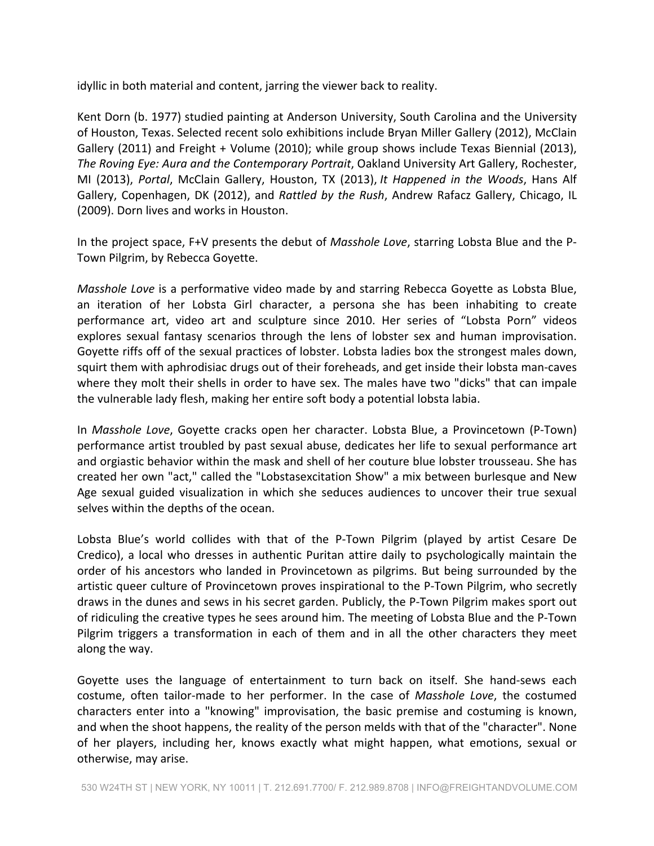idyllic in both material and content, jarring the viewer back to reality.

Kent Dorn (b. 1977) studied painting at Anderson University, South Carolina and the University of Houston, Texas. Selected recent solo exhibitions include Bryan Miller Gallery (2012), McClain Gallery (2011) and Freight + Volume (2010); while group shows include Texas Biennial (2013), The Roving Eye: Aura and the Contemporary Portrait, Oakland University Art Gallery, Rochester, MI (2013), *Portal*, McClain Gallery, Houston, TX (2013), *It Happened in the Woods*, Hans Alf Gallery, Copenhagen, DK (2012), and *Rattled by the Rush*, Andrew Rafacz Gallery, Chicago, IL (2009). Dorn lives and works in Houston.

In the project space, F+V presents the debut of *Masshole Love*, starring Lobsta Blue and the P-Town Pilgrim, by Rebecca Goyette.

*Masshole Love* is a performative video made by and starring Rebecca Goyette as Lobsta Blue, an iteration of her Lobsta Girl character, a persona she has been inhabiting to create performance art, video art and sculpture since 2010. Her series of "Lobsta Porn" videos explores sexual fantasy scenarios through the lens of lobster sex and human improvisation. Goyette riffs off of the sexual practices of lobster. Lobsta ladies box the strongest males down, squirt them with aphrodisiac drugs out of their foreheads, and get inside their lobsta man-caves where they molt their shells in order to have sex. The males have two "dicks" that can impale the vulnerable lady flesh, making her entire soft body a potential lobsta labia.

In *Masshole Love*, Goyette cracks open her character. Lobsta Blue, a Provincetown (P-Town) performance artist troubled by past sexual abuse, dedicates her life to sexual performance art and orgiastic behavior within the mask and shell of her couture blue lobster trousseau. She has created her own "act," called the "Lobstasexcitation Show" a mix between burlesque and New Age sexual guided visualization in which she seduces audiences to uncover their true sexual selves within the depths of the ocean.

Lobsta Blue's world collides with that of the P-Town Pilgrim (played by artist Cesare De Credico), a local who dresses in authentic Puritan attire daily to psychologically maintain the order of his ancestors who landed in Provincetown as pilgrims. But being surrounded by the artistic queer culture of Provincetown proves inspirational to the P-Town Pilgrim, who secretly draws in the dunes and sews in his secret garden. Publicly, the P-Town Pilgrim makes sport out of ridiculing the creative types he sees around him. The meeting of Lobsta Blue and the P-Town Pilgrim triggers a transformation in each of them and in all the other characters they meet along the way.

Goyette uses the language of entertainment to turn back on itself. She hand-sews each costume, often tailor-made to her performer. In the case of *Masshole Love*, the costumed characters enter into a "knowing" improvisation, the basic premise and costuming is known, and when the shoot happens, the reality of the person melds with that of the "character". None of her players, including her, knows exactly what might happen, what emotions, sexual or otherwise, may arise.